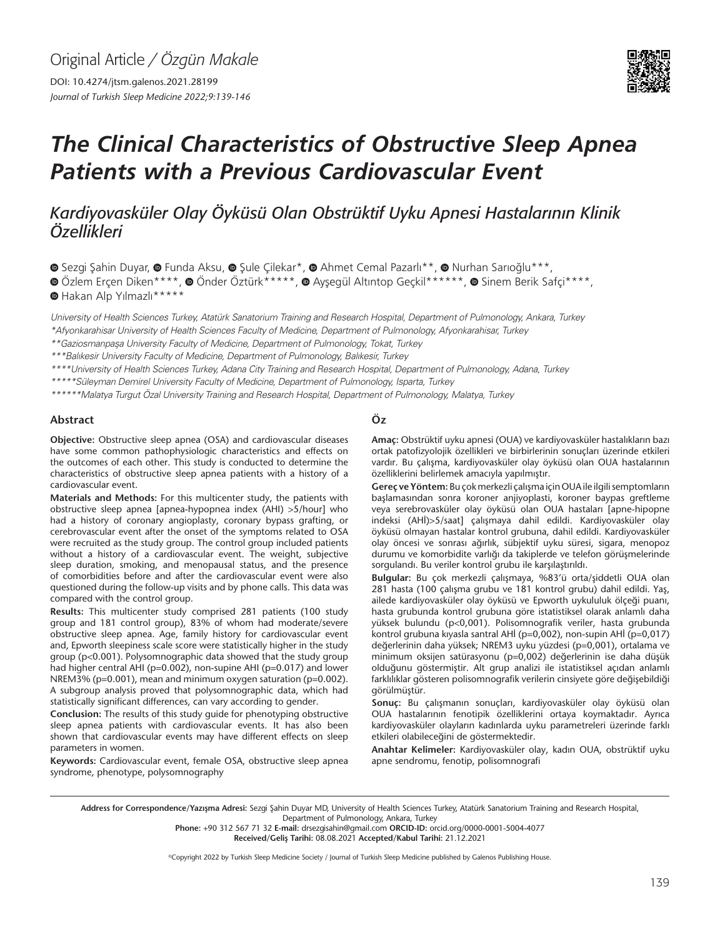Original Article */ Özgün Makale* DOI: 10.4274/jtsm.galenos.2021.28199

*Journal of Turkish Sleep Medicine 2022;9:139-146*

# *The Clinical Characteristics of Obstructive Sleep Apnea Patients with a Previous Cardiovascular Event*

## *Kardiyovasküler Olay Öyküsü Olan Obstrüktif Uyku Apnesi Hastalarının Klinik Özellikleri*

**OSezgi Sahin Duyar, O Funda Aksu, O Sule Çilekar\*, O Ahmet Cemal Pazarlı\*\*, O Nurhan Sarıoğlu\*\*\*,** 

**O**Özlem Erçen Diken\*\*\*\*, **O** Önder Öztürk\*\*\*\*\*, @ Ayşegül Altıntop Geçkil\*\*\*\*\*\*, @ Sinem Berik Safçi\*\*\*\*,

Hakan Alp Yılmazlı\*\*\*\*\*

University of Health Sciences Turkey, Atatürk Sanatorium Training and Research Hospital, Department of Pulmonology, Ankara, Turkey \*Afyonkarahisar University of Health Sciences Faculty of Medicine, Department of Pulmonology, Afyonkarahisar, Turkey

\*\*Gaziosmanpaşa University Faculty of Medicine, Department of Pulmonology, Tokat, Turkey

\*\*\*Balıkesir University Faculty of Medicine, Department of Pulmonology, Balıkesir, Turkey

\*\*\*\*University of Health Sciences Turkey, Adana City Training and Research Hospital, Department of Pulmonology, Adana, Turkey

\*\*\*\*\*Süleyman Demirel University Faculty of Medicine, Department of Pulmonology, Isparta, Turkey

\*\*\*\*\*\*Malatya Turgut Özal University Training and Research Hospital, Department of Pulmonology, Malatya, Turkey

#### **Abstract**

**Objective:** Obstructive sleep apnea (OSA) and cardiovascular diseases have some common pathophysiologic characteristics and effects on the outcomes of each other. This study is conducted to determine the characteristics of obstructive sleep apnea patients with a history of a cardiovascular event.

**Materials and Methods:** For this multicenter study, the patients with obstructive sleep apnea [apnea-hypopnea index (AHI) >5/hour] who had a history of coronary angioplasty, coronary bypass grafting, or cerebrovascular event after the onset of the symptoms related to OSA were recruited as the study group. The control group included patients without a history of a cardiovascular event. The weight, subjective sleep duration, smoking, and menopausal status, and the presence of comorbidities before and after the cardiovascular event were also questioned during the follow-up visits and by phone calls. This data was compared with the control group.

**Results:** This multicenter study comprised 281 patients (100 study group and 181 control group), 83% of whom had moderate/severe obstructive sleep apnea. Age, family history for cardiovascular event and, Epworth sleepiness scale score were statistically higher in the study group (p<0.001). Polysomnographic data showed that the study group had higher central AHI (p=0.002), non-supine AHI (p=0.017) and lower NREM3% (p=0.001), mean and minimum oxygen saturation (p=0.002). A subgroup analysis proved that polysomnographic data, which had statistically significant differences, can vary according to gender.

**Conclusion:** The results of this study guide for phenotyping obstructive sleep apnea patients with cardiovascular events. It has also been shown that cardiovascular events may have different effects on sleep parameters in women.

**Keywords:** Cardiovascular event, female OSA, obstructive sleep apnea syndrome, phenotype, polysomnography

### **Öz**

**Amaç:** Obstrüktif uyku apnesi (OUA) ve kardiyovasküler hastalıkların bazı ortak patofizyolojik özellikleri ve birbirlerinin sonuçları üzerinde etkileri vardır. Bu çalışma, kardiyovasküler olay öyküsü olan OUA hastalarının özelliklerini belirlemek amacıyla yapılmıştır.

**Gereç ve Yöntem:** Bu çok merkezli çalışma için OUA ile ilgili semptomların başlamasından sonra koroner anjiyoplasti, koroner baypas greftleme veya serebrovasküler olay öyküsü olan OUA hastaları [apne-hipopne indeksi (AHİ)>5/saat] çalışmaya dahil edildi. Kardiyovasküler olay öyküsü olmayan hastalar kontrol grubuna, dahil edildi. Kardiyovasküler olay öncesi ve sonrası ağırlık, sübjektif uyku süresi, sigara, menopoz durumu ve komorbidite varlığı da takiplerde ve telefon görüşmelerinde sorgulandı. Bu veriler kontrol grubu ile karşılaştırıldı.

**Bulgular:** Bu çok merkezli çalışmaya, %83'ü orta/şiddetli OUA olan 281 hasta (100 çalışma grubu ve 181 kontrol grubu) dahil edildi. Yaş, ailede kardiyovasküler olay öyküsü ve Epworth uykululuk ölçeği puanı, hasta grubunda kontrol grubuna göre istatistiksel olarak anlamlı daha yüksek bulundu (p<0,001). Polisomnografik veriler, hasta grubunda kontrol grubuna kıyasla santral AHİ (p=0,002), non-supin AHİ (p=0,017) değerlerinin daha yüksek; NREM3 uyku yüzdesi (p=0,001), ortalama ve minimum oksijen satürasyonu (p=0,002) değerlerinin ise daha düşük olduğunu göstermiştir. Alt grup analizi ile istatistiksel açıdan anlamlı farklılıklar gösteren polisomnografik verilerin cinsiyete göre değişebildiği görülmüştür.

**Sonuç:** Bu çalışmanın sonuçları, kardiyovasküler olay öyküsü olan OUA hastalarının fenotipik özelliklerini ortaya koymaktadır. Ayrıca kardiyovasküler olayların kadınlarda uyku parametreleri üzerinde farklı etkileri olabileceğini de göstermektedir.

**Anahtar Kelimeler:** Kardiyovasküler olay, kadın OUA, obstrüktif uyku apne sendromu, fenotip, polisomnografi

Address for Correspondence/Yazışma Adresi: Sezgi Şahin Duyar MD, University of Health Sciences Turkey, Atatürk Sanatorium Training and Research Hospital, Department of Pulmonology, Ankara, Turkey

**Phone:** +90 312 567 71 32 **E-mail:** drsezgisahin@gmail.com **ORCID-ID:** orcid.org/0000-0001-5004-4077

**Received/Geliş Tarihi:** 08.08.2021 **Accepted/Kabul Tarihi:** 21.12.2021

©Copyright 2022 by Turkish Sleep Medicine Society / Journal of Turkish Sleep Medicine published by Galenos Publishing House.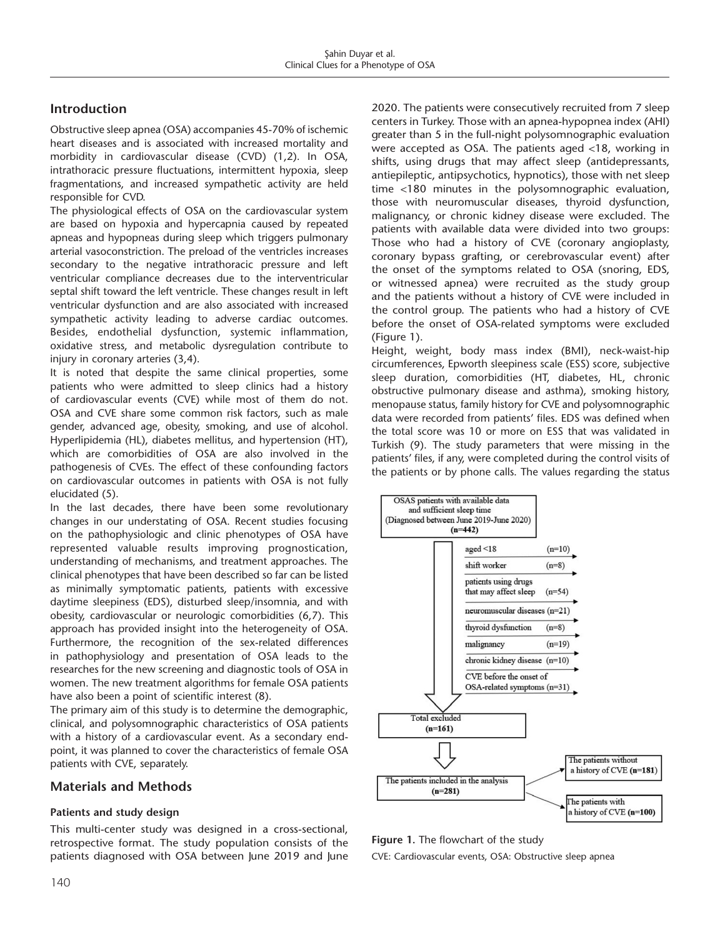## **Introduction**

Obstructive sleep apnea (OSA) accompanies 45-70% of ischemic heart diseases and is associated with increased mortality and morbidity in cardiovascular disease (CVD) (1,2). In OSA, intrathoracic pressure fluctuations, intermittent hypoxia, sleep fragmentations, and increased sympathetic activity are held responsible for CVD.

The physiological effects of OSA on the cardiovascular system are based on hypoxia and hypercapnia caused by repeated apneas and hypopneas during sleep which triggers pulmonary arterial vasoconstriction. The preload of the ventricles increases secondary to the negative intrathoracic pressure and left ventricular compliance decreases due to the interventricular septal shift toward the left ventricle. These changes result in left ventricular dysfunction and are also associated with increased sympathetic activity leading to adverse cardiac outcomes. Besides, endothelial dysfunction, systemic inflammation, oxidative stress, and metabolic dysregulation contribute to injury in coronary arteries (3,4).

It is noted that despite the same clinical properties, some patients who were admitted to sleep clinics had a history of cardiovascular events (CVE) while most of them do not. OSA and CVE share some common risk factors, such as male gender, advanced age, obesity, smoking, and use of alcohol. Hyperlipidemia (HL), diabetes mellitus, and hypertension (HT), which are comorbidities of OSA are also involved in the pathogenesis of CVEs. The effect of these confounding factors on cardiovascular outcomes in patients with OSA is not fully elucidated (5).

In the last decades, there have been some revolutionary changes in our understating of OSA. Recent studies focusing on the pathophysiologic and clinic phenotypes of OSA have represented valuable results improving prognostication, understanding of mechanisms, and treatment approaches. The clinical phenotypes that have been described so far can be listed as minimally symptomatic patients, patients with excessive daytime sleepiness (EDS), disturbed sleep/insomnia, and with obesity, cardiovascular or neurologic comorbidities (6,7). This approach has provided insight into the heterogeneity of OSA. Furthermore, the recognition of the sex-related differences in pathophysiology and presentation of OSA leads to the researches for the new screening and diagnostic tools of OSA in women. The new treatment algorithms for female OSA patients have also been a point of scientific interest (8).

The primary aim of this study is to determine the demographic, clinical, and polysomnographic characteristics of OSA patients with a history of a cardiovascular event. As a secondary endpoint, it was planned to cover the characteristics of female OSA patients with CVE, separately.

## **Materials and Methods**

#### **Patients and study design**

This multi-center study was designed in a cross-sectional, retrospective format. The study population consists of the patients diagnosed with OSA between June 2019 and June 2020. The patients were consecutively recruited from 7 sleep centers in Turkey. Those with an apnea-hypopnea index (AHI) greater than 5 in the full-night polysomnographic evaluation were accepted as OSA. The patients aged <18, working in shifts, using drugs that may affect sleep (antidepressants, antiepileptic, antipsychotics, hypnotics), those with net sleep time <180 minutes in the polysomnographic evaluation, those with neuromuscular diseases, thyroid dysfunction, malignancy, or chronic kidney disease were excluded. The patients with available data were divided into two groups: Those who had a history of CVE (coronary angioplasty, coronary bypass grafting, or cerebrovascular event) after the onset of the symptoms related to OSA (snoring, EDS, or witnessed apnea) were recruited as the study group and the patients without a history of CVE were included in the control group. The patients who had a history of CVE before the onset of OSA-related symptoms were excluded (Figure 1).

Height, weight, body mass index (BMI), neck-waist-hip circumferences, Epworth sleepiness scale (ESS) score, subjective sleep duration, comorbidities (HT, diabetes, HL, chronic obstructive pulmonary disease and asthma), smoking history, menopause status, family history for CVE and polysomnographic data were recorded from patients' files. EDS was defined when the total score was 10 or more on ESS that was validated in Turkish (9). The study parameters that were missing in the patients' files, if any, were completed during the control visits of the patients or by phone calls. The values regarding the status



**Figure 1.** The flowchart of the study

CVE: Cardiovascular events, OSA: Obstructive sleep apnea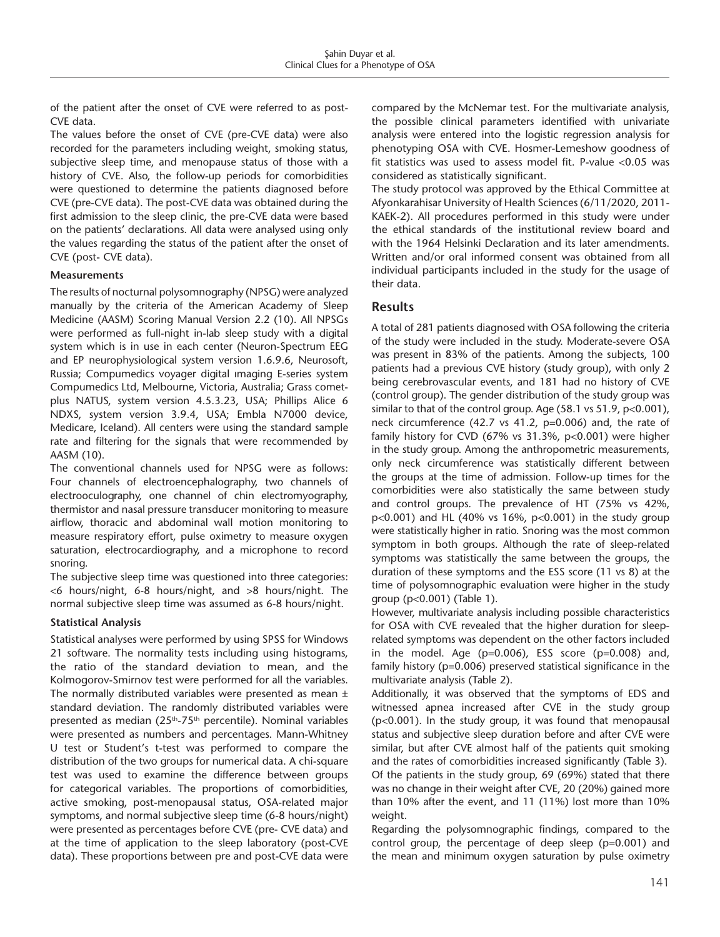of the patient after the onset of CVE were referred to as post-CVE data.

The values before the onset of CVE (pre-CVE data) were also recorded for the parameters including weight, smoking status, subjective sleep time, and menopause status of those with a history of CVE. Also, the follow-up periods for comorbidities were questioned to determine the patients diagnosed before CVE (pre-CVE data). The post-CVE data was obtained during the first admission to the sleep clinic, the pre-CVE data were based on the patients' declarations. All data were analysed using only the values regarding the status of the patient after the onset of CVE (post- CVE data).

#### **Measurements**

The results of nocturnal polysomnography (NPSG) were analyzed manually by the criteria of the American Academy of Sleep Medicine (AASM) Scoring Manual Version 2.2 (10). All NPSGs were performed as full-night in-lab sleep study with a digital system which is in use in each center (Neuron-Spectrum EEG and EP neurophysiological system version 1.6.9.6, Neurosoft, Russia; Compumedics voyager digital ımaging E-series system Compumedics Ltd, Melbourne, Victoria, Australia; Grass cometplus NATUS, system version 4.5.3.23, USA; Phillips Alice 6 NDXS, system version 3.9.4, USA; Embla N7000 device, Medicare, Iceland). All centers were using the standard sample rate and filtering for the signals that were recommended by AASM (10).

The conventional channels used for NPSG were as follows: Four channels of electroencephalography, two channels of electrooculography, one channel of chin electromyography, thermistor and nasal pressure transducer monitoring to measure airflow, thoracic and abdominal wall motion monitoring to measure respiratory effort, pulse oximetry to measure oxygen saturation, electrocardiography, and a microphone to record snoring.

The subjective sleep time was questioned into three categories: <6 hours/night, 6-8 hours/night, and >8 hours/night. The normal subjective sleep time was assumed as 6-8 hours/night.

#### **Statistical Analysis**

Statistical analyses were performed by using SPSS for Windows 21 software. The normality tests including using histograms, the ratio of the standard deviation to mean, and the Kolmogorov-Smirnov test were performed for all the variables. The normally distributed variables were presented as mean  $\pm$ standard deviation. The randomly distributed variables were presented as median  $(25<sup>th</sup>-75<sup>th</sup>$  percentile). Nominal variables were presented as numbers and percentages. Mann-Whitney U test or Student's t-test was performed to compare the distribution of the two groups for numerical data. A chi-square test was used to examine the difference between groups for categorical variables. The proportions of comorbidities, active smoking, post-menopausal status, OSA-related major symptoms, and normal subjective sleep time (6-8 hours/night) were presented as percentages before CVE (pre- CVE data) and at the time of application to the sleep laboratory (post-CVE data). These proportions between pre and post-CVE data were

compared by the McNemar test. For the multivariate analysis, the possible clinical parameters identified with univariate analysis were entered into the logistic regression analysis for phenotyping OSA with CVE. Hosmer-Lemeshow goodness of fit statistics was used to assess model fit. P-value <0.05 was considered as statistically significant.

The study protocol was approved by the Ethical Committee at Afyonkarahisar University of Health Sciences (6/11/2020, 2011- KAEK-2). All procedures performed in this study were under the ethical standards of the institutional review board and with the 1964 Helsinki Declaration and its later amendments. Written and/or oral informed consent was obtained from all individual participants included in the study for the usage of their data.

## **Results**

A total of 281 patients diagnosed with OSA following the criteria of the study were included in the study. Moderate-severe OSA was present in 83% of the patients. Among the subjects, 100 patients had a previous CVE history (study group), with only 2 being cerebrovascular events, and 181 had no history of CVE (control group). The gender distribution of the study group was similar to that of the control group. Age (58.1 vs 51.9, p<0.001), neck circumference (42.7 vs 41.2, p=0.006) and, the rate of family history for CVD (67% vs 31.3%, p<0.001) were higher in the study group. Among the anthropometric measurements, only neck circumference was statistically different between the groups at the time of admission. Follow-up times for the comorbidities were also statistically the same between study and control groups. The prevalence of HT (75% vs 42%, p<0.001) and HL (40% vs 16%, p<0.001) in the study group were statistically higher in ratio. Snoring was the most common symptom in both groups. Although the rate of sleep-related symptoms was statistically the same between the groups, the duration of these symptoms and the ESS score (11 vs 8) at the time of polysomnographic evaluation were higher in the study group (p<0.001) (Table 1).

However, multivariate analysis including possible characteristics for OSA with CVE revealed that the higher duration for sleeprelated symptoms was dependent on the other factors included in the model. Age ( $p=0.006$ ), ESS score ( $p=0.008$ ) and, family history (p=0.006) preserved statistical significance in the multivariate analysis (Table 2).

Additionally, it was observed that the symptoms of EDS and witnessed apnea increased after CVE in the study group (p<0.001). In the study group, it was found that menopausal status and subjective sleep duration before and after CVE were similar, but after CVE almost half of the patients quit smoking and the rates of comorbidities increased significantly (Table 3). Of the patients in the study group, 69 (69%) stated that there was no change in their weight after CVE, 20 (20%) gained more than 10% after the event, and 11 (11%) lost more than 10% weight.

Regarding the polysomnographic findings, compared to the control group, the percentage of deep sleep (p=0.001) and the mean and minimum oxygen saturation by pulse oximetry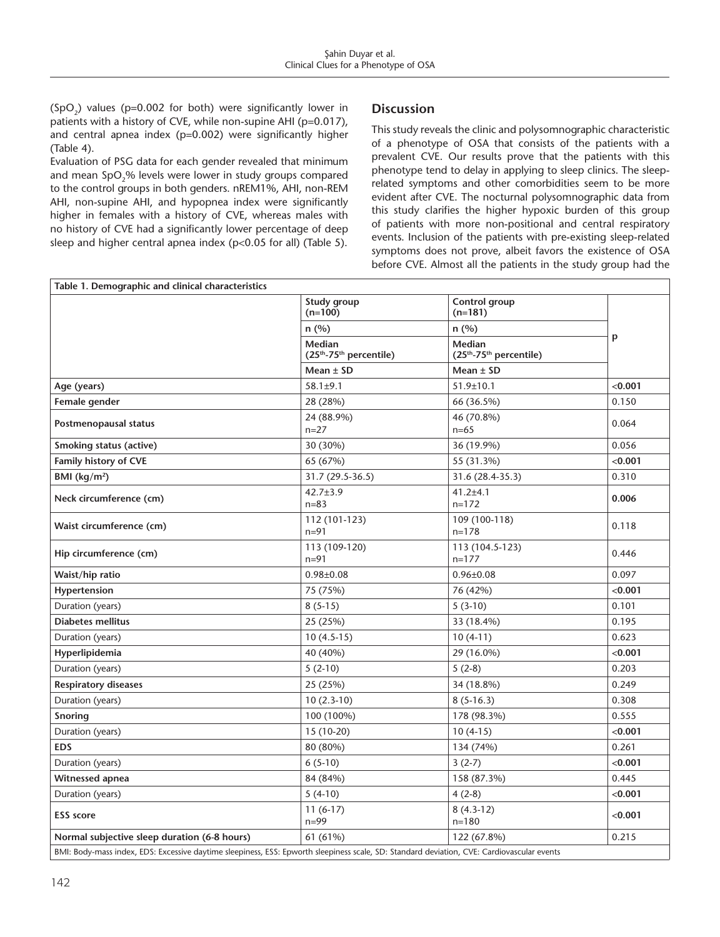$(SpO<sub>2</sub>)$  values (p=0.002 for both) were significantly lower in patients with a history of CVE, while non-supine AHI (p=0.017), and central apnea index (p=0.002) were significantly higher (Table 4).

Evaluation of PSG data for each gender revealed that minimum and mean SpO<sub>2</sub>% levels were lower in study groups compared to the control groups in both genders. nREM1%, AHI, non-REM AHI, non-supine AHI, and hypopnea index were significantly higher in females with a history of CVE, whereas males with no history of CVE had a significantly lower percentage of deep sleep and higher central apnea index ( $p$ <0.05 for all) (Table 5).

## **Discussion**

This study reveals the clinic and polysomnographic characteristic of a phenotype of OSA that consists of the patients with a prevalent CVE. Our results prove that the patients with this phenotype tend to delay in applying to sleep clinics. The sleeprelated symptoms and other comorbidities seem to be more evident after CVE. The nocturnal polysomnographic data from this study clarifies the higher hypoxic burden of this group of patients with more non-positional and central respiratory events. Inclusion of the patients with pre-existing sleep-related symptoms does not prove, albeit favors the existence of OSA before CVE. Almost all the patients in the study group had the

| Table 1. Demographic and clinical characteristics                                                                                          |                                                           |                                                                  |         |
|--------------------------------------------------------------------------------------------------------------------------------------------|-----------------------------------------------------------|------------------------------------------------------------------|---------|
|                                                                                                                                            | Study group<br>$(n=100)$                                  | Control group<br>$(n=181)$                                       |         |
|                                                                                                                                            | n(%)                                                      | n(%)                                                             |         |
|                                                                                                                                            | Median<br>(25 <sup>th</sup> -75 <sup>th</sup> percentile) | <b>Median</b><br>(25 <sup>th</sup> -75 <sup>th</sup> percentile) | p       |
|                                                                                                                                            | Mean $\pm$ SD                                             | Mean $\pm$ SD                                                    |         |
| Age (years)                                                                                                                                | $58.1 + 9.1$                                              | $51.9 \pm 10.1$                                                  | < 0.001 |
| Female gender                                                                                                                              | 28 (28%)                                                  | 66 (36.5%)                                                       | 0.150   |
| Postmenopausal status                                                                                                                      | 24 (88.9%)<br>$n=27$                                      | 46 (70.8%)<br>$n=65$                                             | 0.064   |
| Smoking status (active)                                                                                                                    | 30 (30%)                                                  | 36 (19.9%)                                                       | 0.056   |
| Family history of CVE                                                                                                                      | 65 (67%)                                                  | 55 (31.3%)                                                       | < 0.001 |
| BMI ( $kg/m2$ )                                                                                                                            | 31.7 (29.5-36.5)                                          | 31.6 (28.4-35.3)                                                 | 0.310   |
| Neck circumference (cm)                                                                                                                    | $42.7 \pm 3.9$<br>$n = 83$                                | $41.2 \pm 4.1$<br>$n=172$                                        | 0.006   |
| Waist circumference (cm)                                                                                                                   | 112 (101-123)<br>$n = 91$                                 | 109 (100-118)<br>$n=178$                                         | 0.118   |
| Hip circumference (cm)                                                                                                                     | 113 (109-120)<br>$n = 91$                                 | 113 (104.5-123)<br>$n=177$                                       | 0.446   |
| Waist/hip ratio                                                                                                                            | $0.98 \pm 0.08$                                           | $0.96 \pm 0.08$                                                  | 0.097   |
| Hypertension                                                                                                                               | 75 (75%)                                                  | 76 (42%)                                                         | < 0.001 |
| Duration (years)                                                                                                                           | $8(5-15)$                                                 | $5(3-10)$                                                        | 0.101   |
| <b>Diabetes mellitus</b>                                                                                                                   | 25 (25%)                                                  | 33 (18.4%)                                                       | 0.195   |
| Duration (years)                                                                                                                           | $10(4.5-15)$                                              | $10(4-11)$                                                       | 0.623   |
| Hyperlipidemia                                                                                                                             | 40 (40%)                                                  | 29 (16.0%)                                                       | < 0.001 |
| Duration (years)                                                                                                                           | $5(2-10)$                                                 | $5(2-8)$                                                         | 0.203   |
| <b>Respiratory diseases</b>                                                                                                                | 25 (25%)                                                  | 34 (18.8%)                                                       | 0.249   |
| Duration (years)                                                                                                                           | $10(2.3-10)$                                              | $8(5-16.3)$                                                      | 0.308   |
| <b>Snoring</b>                                                                                                                             | 100 (100%)                                                | 178 (98.3%)                                                      | 0.555   |
| Duration (years)                                                                                                                           | 15 (10-20)                                                | $10(4-15)$                                                       | < 0.001 |
| <b>EDS</b>                                                                                                                                 | 80 (80%)                                                  | 134 (74%)                                                        | 0.261   |
| Duration (years)                                                                                                                           | $6(5-10)$                                                 | $3(2-7)$                                                         | < 0.001 |
| Witnessed apnea                                                                                                                            | 84 (84%)                                                  | 158 (87.3%)                                                      | 0.445   |
| Duration (years)                                                                                                                           | $5(4-10)$                                                 | $4(2-8)$                                                         | < 0.001 |
| <b>ESS</b> score                                                                                                                           | $11(6-17)$<br>$n = 99$                                    | $8(4.3-12)$<br>$n = 180$                                         | < 0.001 |
| Normal subjective sleep duration (6-8 hours)                                                                                               | 61 (61%)                                                  | 122 (67.8%)                                                      | 0.215   |
| BMI: Body-mass index, EDS: Excessive daytime sleepiness, ESS: Epworth sleepiness scale, SD: Standard deviation, CVE: Cardiovascular events |                                                           |                                                                  |         |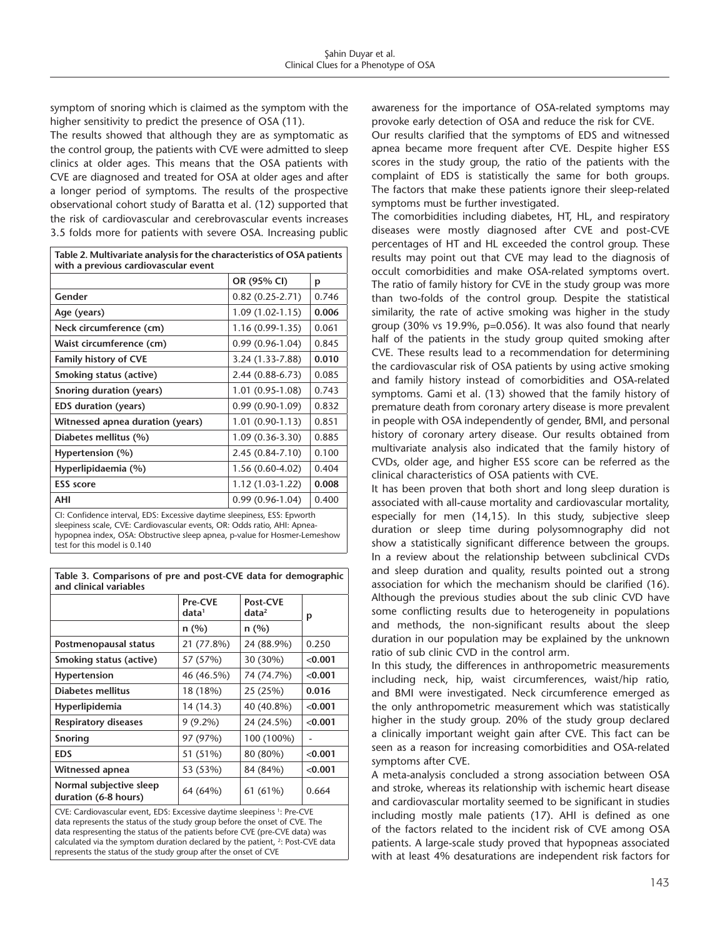symptom of snoring which is claimed as the symptom with the higher sensitivity to predict the presence of OSA (11).

The results showed that although they are as symptomatic as the control group, the patients with CVE were admitted to sleep clinics at older ages. This means that the OSA patients with CVE are diagnosed and treated for OSA at older ages and after a longer period of symptoms. The results of the prospective observational cohort study of Baratta et al. (12) supported that the risk of cardiovascular and cerebrovascular events increases 3.5 folds more for patients with severe OSA. Increasing public

| Table 2. Multivariate analysis for the characteristics of OSA patients<br>with a previous cardiovascular event |                     |       |  |
|----------------------------------------------------------------------------------------------------------------|---------------------|-------|--|
|                                                                                                                | OR (95% CI)         | p     |  |
| Gender                                                                                                         | $0.82(0.25-2.71)$   | 0.746 |  |
| Age (years)                                                                                                    | $1.09(1.02-1.15)$   | 0.006 |  |
| Neck circumference (cm)                                                                                        | 1.16 (0.99-1.35)    | 0.061 |  |
| Waist circumference (cm)                                                                                       | $0.99(0.96 - 1.04)$ | 0.845 |  |
| Family history of CVE                                                                                          | 3.24 (1.33-7.88)    | 0.010 |  |
| Smoking status (active)                                                                                        | 2.44 (0.88-6.73)    | 0.085 |  |
| Snoring duration (years)                                                                                       | 1.01 (0.95-1.08)    | 0.743 |  |
| <b>EDS</b> duration (years)                                                                                    | $0.99(0.90-1.09)$   | 0.832 |  |
| Witnessed apnea duration (years)                                                                               | $1.01(0.90-1.13)$   | 0.851 |  |
| Diabetes mellitus (%)                                                                                          | $1.09(0.36-3.30)$   | 0.885 |  |
| Hypertension (%)                                                                                               | 2.45 (0.84-7.10)    | 0.100 |  |
| Hyperlipidaemia (%)                                                                                            | 1.56 (0.60-4.02)    | 0.404 |  |
| <b>ESS</b> score                                                                                               | 1.12 (1.03-1.22)    | 0.008 |  |
| AHI                                                                                                            | $0.99(0.96 - 1.04)$ | 0.400 |  |
| CL Confidence to condition the concentral departure description for concentration                              |                     |       |  |

CI: Confidence interval, EDS: Excessive daytime sleepiness, ESS: Epworth sleepiness scale, CVE: Cardiovascular events, OR: Odds ratio, AHI: Apneahypopnea index, OSA: Obstructive sleep apnea, p-value for Hosmer-Lemeshow test for this model is 0.140

**Table 3. Comparisons of pre and post-CVE data for demographic and clinical variables** 

|                                                 | Pre-CVE<br>data <sup>1</sup> | Post-CVE<br>data <sup>2</sup> | р       |  |
|-------------------------------------------------|------------------------------|-------------------------------|---------|--|
|                                                 | n(%)                         | n(%)                          |         |  |
| Postmenopausal status                           | 21 (77.8%)                   | 24 (88.9%)                    | 0.250   |  |
| Smoking status (active)                         | 57 (57%)                     | 30 (30%)                      | < 0.001 |  |
| Hypertension                                    | 46 (46.5%)                   | 74 (74.7%)                    | < 0.001 |  |
| Diabetes mellitus                               | 18 (18%)                     | 25 (25%)                      | 0.016   |  |
| Hyperlipidemia                                  | 14 (14.3)                    | 40 (40.8%)                    | < 0.001 |  |
| <b>Respiratory diseases</b>                     | $9(9.2\%)$                   | 24 (24.5%)                    | < 0.001 |  |
| <b>Snoring</b>                                  | 97 (97%)                     | 100 (100%)                    |         |  |
| <b>EDS</b>                                      | 51 (51%)                     | 80 (80%)                      | < 0.001 |  |
| Witnessed apnea                                 | 53 (53%)                     | 84 (84%)                      | < 0.001 |  |
| Normal subjective sleep<br>duration (6-8 hours) | 64 (64%)                     | 61 (61%)                      | 0.664   |  |

CVE: Cardiovascular event, EDS: Excessive daytime sleepiness<sup>1</sup>: Pre-CVE data represents the status of the study group before the onset of CVE. The data respresenting the status of the patients before CVE (pre-CVE data) was calculated via the symptom duration declared by the patient, <sup>2</sup>: Post-CVE data represents the status of the study group after the onset of CVE

awareness for the importance of OSA-related symptoms may provoke early detection of OSA and reduce the risk for CVE.

Our results clarified that the symptoms of EDS and witnessed apnea became more frequent after CVE. Despite higher ESS scores in the study group, the ratio of the patients with the complaint of EDS is statistically the same for both groups. The factors that make these patients ignore their sleep-related symptoms must be further investigated.

The comorbidities including diabetes, HT, HL, and respiratory diseases were mostly diagnosed after CVE and post-CVE percentages of HT and HL exceeded the control group. These results may point out that CVE may lead to the diagnosis of occult comorbidities and make OSA-related symptoms overt. The ratio of family history for CVE in the study group was more than two-folds of the control group. Despite the statistical similarity, the rate of active smoking was higher in the study group (30% vs 19.9%, p=0.056). It was also found that nearly half of the patients in the study group quited smoking after CVE. These results lead to a recommendation for determining the cardiovascular risk of OSA patients by using active smoking and family history instead of comorbidities and OSA-related symptoms. Gami et al. (13) showed that the family history of premature death from coronary artery disease is more prevalent in people with OSA independently of gender, BMI, and personal history of coronary artery disease. Our results obtained from multivariate analysis also indicated that the family history of CVDs, older age, and higher ESS score can be referred as the clinical characteristics of OSA patients with CVE.

It has been proven that both short and long sleep duration is associated with all-cause mortality and cardiovascular mortality, especially for men (14,15). In this study, subjective sleep duration or sleep time during polysomnography did not show a statistically significant difference between the groups. In a review about the relationship between subclinical CVDs and sleep duration and quality, results pointed out a strong association for which the mechanism should be clarified (16). Although the previous studies about the sub clinic CVD have some conflicting results due to heterogeneity in populations and methods, the non-significant results about the sleep duration in our population may be explained by the unknown ratio of sub clinic CVD in the control arm.

In this study, the differences in anthropometric measurements including neck, hip, waist circumferences, waist/hip ratio, and BMI were investigated. Neck circumference emerged as the only anthropometric measurement which was statistically higher in the study group. 20% of the study group declared a clinically important weight gain after CVE. This fact can be seen as a reason for increasing comorbidities and OSA-related symptoms after CVE.

A meta-analysis concluded a strong association between OSA and stroke, whereas its relationship with ischemic heart disease and cardiovascular mortality seemed to be significant in studies including mostly male patients (17). AHI is defined as one of the factors related to the incident risk of CVE among OSA patients. A large-scale study proved that hypopneas associated with at least 4% desaturations are independent risk factors for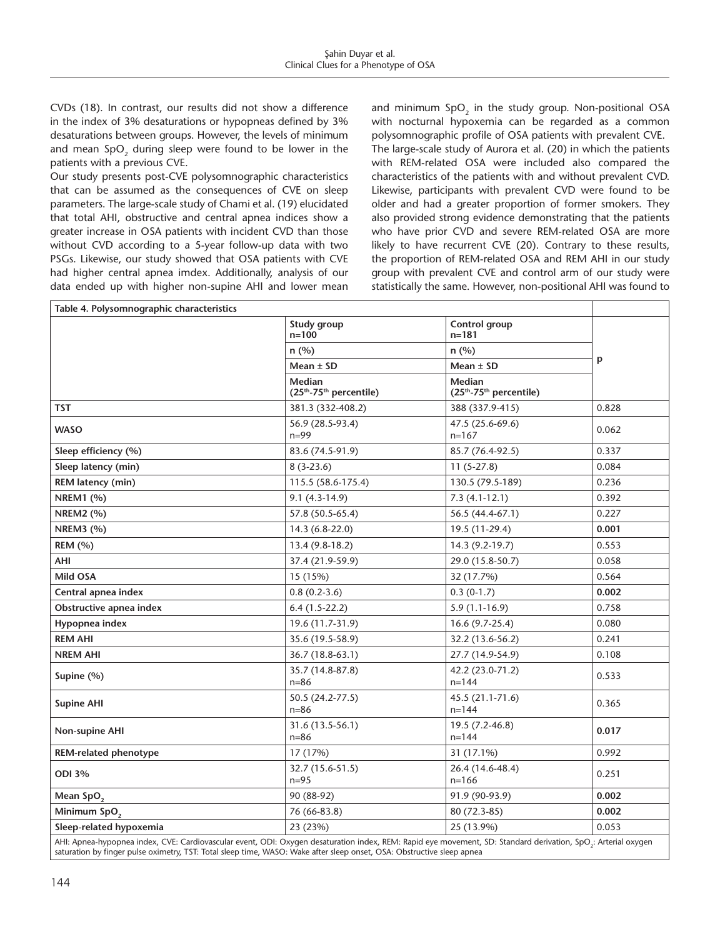CVDs (18). In contrast, our results did not show a difference in the index of 3% desaturations or hypopneas defined by 3% desaturations between groups. However, the levels of minimum and mean SpO<sub>2</sub> during sleep were found to be lower in the patients with a previous CVE.

Our study presents post-CVE polysomnographic characteristics that can be assumed as the consequences of CVE on sleep parameters. The large-scale study of Chami et al. (19) elucidated that total AHI, obstructive and central apnea indices show a greater increase in OSA patients with incident CVD than those without CVD according to a 5-year follow-up data with two PSGs. Likewise, our study showed that OSA patients with CVE had higher central apnea imdex. Additionally, analysis of our data ended up with higher non-supine AHI and lower mean

and minimum SpO<sub>2</sub> in the study group. Non-positional OSA with nocturnal hypoxemia can be regarded as a common polysomnographic profile of OSA patients with prevalent CVE. The large-scale study of Aurora et al. (20) in which the patients with REM-related OSA were included also compared the characteristics of the patients with and without prevalent CVD. Likewise, participants with prevalent CVD were found to be older and had a greater proportion of former smokers. They also provided strong evidence demonstrating that the patients who have prior CVD and severe REM-related OSA are more likely to have recurrent CVE (20). Contrary to these results, the proportion of REM-related OSA and REM AHI in our study group with prevalent CVE and control arm of our study were statistically the same. However, non-positional AHI was found to

| Table 4. Polysomnographic characteristics                                                                                                                                                                                                                                                                                          |                                  |                                                                                                                                                                                                                                                                                                 |       |  |
|------------------------------------------------------------------------------------------------------------------------------------------------------------------------------------------------------------------------------------------------------------------------------------------------------------------------------------|----------------------------------|-------------------------------------------------------------------------------------------------------------------------------------------------------------------------------------------------------------------------------------------------------------------------------------------------|-------|--|
|                                                                                                                                                                                                                                                                                                                                    | Study group<br>$n = 100$         | Control group<br>$n = 181$                                                                                                                                                                                                                                                                      |       |  |
|                                                                                                                                                                                                                                                                                                                                    | n(%)                             | n(%)<br>Mean $\pm$ SD                                                                                                                                                                                                                                                                           | p     |  |
|                                                                                                                                                                                                                                                                                                                                    | Mean $\pm$ SD                    |                                                                                                                                                                                                                                                                                                 |       |  |
|                                                                                                                                                                                                                                                                                                                                    | Median<br>(25th-75th percentile) | Median<br>(25 <sup>th</sup> -75 <sup>th</sup> percentile)                                                                                                                                                                                                                                       |       |  |
| <b>TST</b>                                                                                                                                                                                                                                                                                                                         | 381.3 (332-408.2)                | 388 (337.9-415)                                                                                                                                                                                                                                                                                 | 0.828 |  |
| <b>WASO</b>                                                                                                                                                                                                                                                                                                                        | 56.9 (28.5-93.4)<br>$n = 99$     | 47.5 (25.6-69.6)<br>$n=167$                                                                                                                                                                                                                                                                     | 0.062 |  |
| Sleep efficiency (%)                                                                                                                                                                                                                                                                                                               | 83.6 (74.5-91.9)                 | 85.7 (76.4-92.5)                                                                                                                                                                                                                                                                                | 0.337 |  |
| Sleep latency (min)                                                                                                                                                                                                                                                                                                                | $8(3-23.6)$                      | $11(5-27.8)$                                                                                                                                                                                                                                                                                    | 0.084 |  |
| REM latency (min)                                                                                                                                                                                                                                                                                                                  | 115.5 (58.6-175.4)               | 130.5 (79.5-189)                                                                                                                                                                                                                                                                                | 0.236 |  |
| <b>NREM1 (%)</b>                                                                                                                                                                                                                                                                                                                   | $9.1(4.3-14.9)$                  | $7.3(4.1-12.1)$                                                                                                                                                                                                                                                                                 | 0.392 |  |
| <b>NREM2 (%)</b>                                                                                                                                                                                                                                                                                                                   | 57.8 (50.5-65.4)                 | 56.5 (44.4-67.1)                                                                                                                                                                                                                                                                                | 0.227 |  |
| <b>NREM3 (%)</b>                                                                                                                                                                                                                                                                                                                   | 14.3 (6.8-22.0)                  | 19.5 (11-29.4)                                                                                                                                                                                                                                                                                  | 0.001 |  |
| <b>REM (%)</b>                                                                                                                                                                                                                                                                                                                     | 13.4 (9.8-18.2)                  | 14.3 (9.2-19.7)                                                                                                                                                                                                                                                                                 | 0.553 |  |
| AHI                                                                                                                                                                                                                                                                                                                                | 37.4 (21.9-59.9)                 | 29.0 (15.8-50.7)                                                                                                                                                                                                                                                                                | 0.058 |  |
| <b>Mild OSA</b>                                                                                                                                                                                                                                                                                                                    | 15 (15%)                         | 32 (17.7%)                                                                                                                                                                                                                                                                                      | 0.564 |  |
| Central apnea index                                                                                                                                                                                                                                                                                                                | $0.8(0.2-3.6)$                   | $0.3(0-1.7)$                                                                                                                                                                                                                                                                                    | 0.002 |  |
| Obstructive apnea index                                                                                                                                                                                                                                                                                                            | $6.4(1.5-22.2)$                  | $5.9(1.1-16.9)$                                                                                                                                                                                                                                                                                 | 0.758 |  |
| Hypopnea index                                                                                                                                                                                                                                                                                                                     | 19.6 (11.7-31.9)                 | $16.6(9.7-25.4)$                                                                                                                                                                                                                                                                                | 0.080 |  |
| <b>REM AHI</b>                                                                                                                                                                                                                                                                                                                     | 35.6 (19.5-58.9)                 | 32.2 (13.6-56.2)                                                                                                                                                                                                                                                                                | 0.241 |  |
| <b>NREM AHI</b>                                                                                                                                                                                                                                                                                                                    | 36.7 (18.8-63.1)                 | 27.7 (14.9-54.9)                                                                                                                                                                                                                                                                                | 0.108 |  |
| Supine (%)                                                                                                                                                                                                                                                                                                                         | 35.7 (14.8-87.8)<br>$n = 86$     | 42.2 (23.0-71.2)<br>$n = 144$                                                                                                                                                                                                                                                                   | 0.533 |  |
| <b>Supine AHI</b>                                                                                                                                                                                                                                                                                                                  | 50.5 (24.2-77.5)<br>$n = 86$     | 45.5 (21.1-71.6)<br>$n = 144$                                                                                                                                                                                                                                                                   | 0.365 |  |
| Non-supine AHI                                                                                                                                                                                                                                                                                                                     | 31.6 (13.5-56.1)<br>$n = 86$     | 19.5 (7.2-46.8)<br>$n = 144$                                                                                                                                                                                                                                                                    | 0.017 |  |
| REM-related phenotype                                                                                                                                                                                                                                                                                                              | 17 (17%)                         | 31 (17.1%)                                                                                                                                                                                                                                                                                      | 0.992 |  |
| <b>ODI 3%</b>                                                                                                                                                                                                                                                                                                                      | 32.7 (15.6-51.5)<br>$n = 95$     | 26.4 (14.6-48.4)<br>$n = 166$                                                                                                                                                                                                                                                                   | 0.251 |  |
| Mean SpO <sub>2</sub>                                                                                                                                                                                                                                                                                                              | 90 (88-92)                       | 91.9 (90-93.9)                                                                                                                                                                                                                                                                                  | 0.002 |  |
| Minimum SpO <sub>2</sub>                                                                                                                                                                                                                                                                                                           | 76 (66-83.8)                     | 80 (72.3-85)                                                                                                                                                                                                                                                                                    | 0.002 |  |
| Sleep-related hypoxemia                                                                                                                                                                                                                                                                                                            | 23 (23%)                         | 25 (13.9%)                                                                                                                                                                                                                                                                                      | 0.053 |  |
| $\mathbf{u}$ $\mathbf{u}$ $\mathbf{v}$ $\mathbf{v}$ $\mathbf{v}$ $\mathbf{v}$ $\mathbf{v}$ $\mathbf{v}$ $\mathbf{v}$ $\mathbf{v}$ $\mathbf{v}$ $\mathbf{v}$ $\mathbf{v}$ $\mathbf{v}$ $\mathbf{v}$ $\mathbf{v}$ $\mathbf{v}$ $\mathbf{v}$ $\mathbf{v}$ $\mathbf{v}$ $\mathbf{v}$ $\mathbf{v}$ $\mathbf{v}$ $\mathbf{v}$ $\mathbf{$ |                                  | $\mathbf{r}$ and $\mathbf{r}$ are $\mathbf{r}$ and $\mathbf{r}$ and $\mathbf{r}$ are $\mathbf{r}$ as $\mathbf{r}$ and $\mathbf{r}$ are $\mathbf{r}$ and $\mathbf{r}$ are $\mathbf{r}$ and $\mathbf{r}$ are $\mathbf{r}$ and $\mathbf{r}$ are $\mathbf{r}$ and $\mathbf{r}$ are $\mathbf{r}$ and |       |  |

AHI: Apnea-hypopnea index, CVE: Cardiovascular event, ODI: Oxygen desaturation index, REM: Rapid eye movement, SD: Standard derivation, SpO<sub>2</sub>: Arterial oxygen saturation by finger pulse oximetry, TST: Total sleep time, WASO: Wake after sleep onset, OSA: Obstructive sleep apnea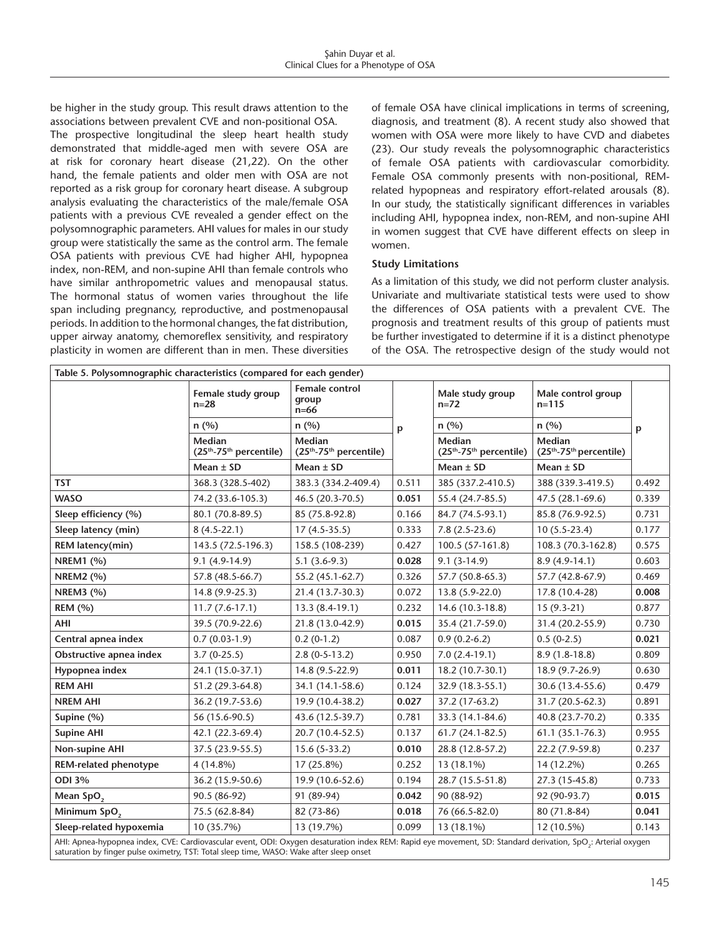be higher in the study group. This result draws attention to the associations between prevalent CVE and non-positional OSA.

The prospective longitudinal the sleep heart health study demonstrated that middle-aged men with severe OSA are at risk for coronary heart disease (21,22). On the other hand, the female patients and older men with OSA are not reported as a risk group for coronary heart disease. A subgroup analysis evaluating the characteristics of the male/female OSA patients with a previous CVE revealed a gender effect on the polysomnographic parameters. AHI values for males in our study group were statistically the same as the control arm. The female OSA patients with previous CVE had higher AHI, hypopnea index, non-REM, and non-supine AHI than female controls who have similar anthropometric values and menopausal status. The hormonal status of women varies throughout the life span including pregnancy, reproductive, and postmenopausal periods. In addition to the hormonal changes, the fat distribution, upper airway anatomy, chemoreflex sensitivity, and respiratory plasticity in women are different than in men. These diversities

of female OSA have clinical implications in terms of screening, diagnosis, and treatment (8). A recent study also showed that women with OSA were more likely to have CVD and diabetes (23). Our study reveals the polysomnographic characteristics of female OSA patients with cardiovascular comorbidity. Female OSA commonly presents with non-positional, REMrelated hypopneas and respiratory effort-related arousals (8). In our study, the statistically significant differences in variables including AHI, hypopnea index, non-REM, and non-supine AHI in women suggest that CVE have different effects on sleep in women.

#### **Study Limitations**

As a limitation of this study, we did not perform cluster analysis. Univariate and multivariate statistical tests were used to show the differences of OSA patients with a prevalent CVE. The prognosis and treatment results of this group of patients must be further investigated to determine if it is a distinct phenotype of the OSA. The retrospective design of the study would not

| Table 5. Polysomnographic characteristics (compared for each gender)                                                                                                                                                                                                                                                                                                                                                                       |                                                                  |                                                           |       |                            |                                    |                                    |  |
|--------------------------------------------------------------------------------------------------------------------------------------------------------------------------------------------------------------------------------------------------------------------------------------------------------------------------------------------------------------------------------------------------------------------------------------------|------------------------------------------------------------------|-----------------------------------------------------------|-------|----------------------------|------------------------------------|------------------------------------|--|
|                                                                                                                                                                                                                                                                                                                                                                                                                                            | Female study group<br>$n = 28$                                   | <b>Female control</b><br>group<br>$n=66$                  |       | Male study group<br>$n=72$ | Male control group<br>$n = 115$    |                                    |  |
|                                                                                                                                                                                                                                                                                                                                                                                                                                            | n(%)                                                             | n(%)                                                      | p     | n(%)                       | n(%)                               | p                                  |  |
|                                                                                                                                                                                                                                                                                                                                                                                                                                            | <b>Median</b><br>(25 <sup>th</sup> -75 <sup>th</sup> percentile) | Median<br>(25 <sup>th</sup> -75 <sup>th</sup> percentile) |       |                            | Median<br>$(25th-75th$ percentile) | Median<br>$(25th-75th$ percentile) |  |
|                                                                                                                                                                                                                                                                                                                                                                                                                                            | Mean $\pm$ SD                                                    | Mean $\pm$ SD                                             |       | Mean $\pm$ SD              | Mean $\pm$ SD                      |                                    |  |
| <b>TST</b>                                                                                                                                                                                                                                                                                                                                                                                                                                 | 368.3 (328.5-402)                                                | 383.3 (334.2-409.4)                                       | 0.511 | 385 (337.2-410.5)          | 388 (339.3-419.5)                  | 0.492                              |  |
| <b>WASO</b>                                                                                                                                                                                                                                                                                                                                                                                                                                | 74.2 (33.6-105.3)                                                | 46.5 (20.3-70.5)                                          | 0.051 | 55.4 (24.7-85.5)           | 47.5 (28.1-69.6)                   | 0.339                              |  |
| Sleep efficiency (%)                                                                                                                                                                                                                                                                                                                                                                                                                       | 80.1 (70.8-89.5)                                                 | 85 (75.8-92.8)                                            | 0.166 | 84.7 (74.5-93.1)           | 85.8 (76.9-92.5)                   | 0.731                              |  |
| Sleep latency (min)                                                                                                                                                                                                                                                                                                                                                                                                                        | $8(4.5-22.1)$                                                    | $17(4.5-35.5)$                                            | 0.333 | $7.8(2.5-23.6)$            | $10(5.5-23.4)$                     | 0.177                              |  |
| REM latency(min)                                                                                                                                                                                                                                                                                                                                                                                                                           | 143.5 (72.5-196.3)                                               | 158.5 (108-239)                                           | 0.427 | 100.5 (57-161.8)           | 108.3 (70.3-162.8)                 | 0.575                              |  |
| <b>NREM1 (%)</b>                                                                                                                                                                                                                                                                                                                                                                                                                           | $9.1(4.9-14.9)$                                                  | $5.1(3.6-9.3)$                                            | 0.028 | $9.1(3-14.9)$              | $8.9(4.9-14.1)$                    | 0.603                              |  |
| <b>NREM2 (%)</b>                                                                                                                                                                                                                                                                                                                                                                                                                           | 57.8 (48.5-66.7)                                                 | 55.2 (45.1-62.7)                                          | 0.326 | 57.7 (50.8-65.3)           | 57.7 (42.8-67.9)                   | 0.469                              |  |
| <b>NREM3 (%)</b>                                                                                                                                                                                                                                                                                                                                                                                                                           | 14.8 (9.9-25.3)                                                  | 21.4 (13.7-30.3)                                          | 0.072 | 13.8 (5.9-22.0)            | 17.8 (10.4-28)                     | 0.008                              |  |
| <b>REM (%)</b>                                                                                                                                                                                                                                                                                                                                                                                                                             | $11.7(7.6-17.1)$                                                 | $13.3(8.4-19.1)$                                          | 0.232 | 14.6 (10.3-18.8)           | $15(9.3-21)$                       | 0.877                              |  |
| AHI                                                                                                                                                                                                                                                                                                                                                                                                                                        | 39.5 (70.9-22.6)                                                 | 21.8 (13.0-42.9)                                          | 0.015 | 35.4 (21.7-59.0)           | 31.4 (20.2-55.9)                   | 0.730                              |  |
| Central apnea index                                                                                                                                                                                                                                                                                                                                                                                                                        | $0.7(0.03-1.9)$                                                  | $0.2(0-1.2)$                                              | 0.087 | $0.9(0.2-6.2)$             | $0.5(0-2.5)$                       | 0.021                              |  |
| Obstructive apnea index                                                                                                                                                                                                                                                                                                                                                                                                                    | $3.7(0-25.5)$                                                    | $2.8(0-5-13.2)$                                           | 0.950 | $7.0(2.4-19.1)$            | $8.9(1.8-18.8)$                    | 0.809                              |  |
| Hypopnea index                                                                                                                                                                                                                                                                                                                                                                                                                             | 24.1 (15.0-37.1)                                                 | 14.8 (9.5-22.9)                                           | 0.011 | 18.2 (10.7-30.1)           | 18.9 (9.7-26.9)                    | 0.630                              |  |
| <b>REM AHI</b>                                                                                                                                                                                                                                                                                                                                                                                                                             | 51.2 (29.3-64.8)                                                 | 34.1 (14.1-58.6)                                          | 0.124 | 32.9 (18.3-55.1)           | 30.6 (13.4-55.6)                   | 0.479                              |  |
| <b>NREM AHI</b>                                                                                                                                                                                                                                                                                                                                                                                                                            | 36.2 (19.7-53.6)                                                 | 19.9 (10.4-38.2)                                          | 0.027 | 37.2 (17-63.2)             | 31.7 (20.5-62.3)                   | 0.891                              |  |
| Supine $(% )$                                                                                                                                                                                                                                                                                                                                                                                                                              | 56 (15.6-90.5)                                                   | 43.6 (12.5-39.7)                                          | 0.781 | 33.3 (14.1-84.6)           | 40.8 (23.7-70.2)                   | 0.335                              |  |
| <b>Supine AHI</b>                                                                                                                                                                                                                                                                                                                                                                                                                          | 42.1 (22.3-69.4)                                                 | 20.7 (10.4-52.5)                                          | 0.137 | $61.7(24.1-82.5)$          | $61.1(35.1-76.3)$                  | 0.955                              |  |
| Non-supine AHI                                                                                                                                                                                                                                                                                                                                                                                                                             | 37.5 (23.9-55.5)                                                 | $15.6(5-33.2)$                                            | 0.010 | 28.8 (12.8-57.2)           | 22.2 (7.9-59.8)                    | 0.237                              |  |
| <b>REM-related phenotype</b>                                                                                                                                                                                                                                                                                                                                                                                                               | 4 (14.8%)                                                        | 17 (25.8%)                                                | 0.252 | 13 (18.1%)                 | 14 (12.2%)                         | 0.265                              |  |
| <b>ODI 3%</b>                                                                                                                                                                                                                                                                                                                                                                                                                              | 36.2 (15.9-50.6)                                                 | 19.9 (10.6-52.6)                                          | 0.194 | 28.7 (15.5-51.8)           | 27.3 (15-45.8)                     | 0.733                              |  |
| Mean SpO <sub>2</sub>                                                                                                                                                                                                                                                                                                                                                                                                                      | 90.5 (86-92)                                                     | 91 (89-94)                                                | 0.042 | 90 (88-92)                 | 92 (90-93.7)                       | 0.015                              |  |
| Minimum SpO <sub>2</sub>                                                                                                                                                                                                                                                                                                                                                                                                                   | 75.5 (62.8-84)                                                   | 82 (73-86)                                                | 0.018 | 76 (66.5-82.0)             | 80 (71.8-84)                       | 0.041                              |  |
| Sleep-related hypoxemia                                                                                                                                                                                                                                                                                                                                                                                                                    | 10 (35.7%)                                                       | 13 (19.7%)                                                | 0.099 | 13 (18.1%)                 | 12 (10.5%)                         | 0.143                              |  |
| $\overline{c}$<br>$C = C$<br>$\sim$ $\sim$ $\sim$<br>$\mathbf{r}$ $\mathbf{r}$ $\mathbf{r}$ $\mathbf{r}$ $\mathbf{r}$ $\mathbf{r}$ $\mathbf{r}$ $\mathbf{r}$ $\mathbf{r}$ $\mathbf{r}$ $\mathbf{r}$ $\mathbf{r}$ $\mathbf{r}$ $\mathbf{r}$ $\mathbf{r}$ $\mathbf{r}$ $\mathbf{r}$ $\mathbf{r}$ $\mathbf{r}$ $\mathbf{r}$ $\mathbf{r}$ $\mathbf{r}$ $\mathbf{r}$ $\mathbf{r}$ $\mathbf{$<br>the contract of the contract of the contract of |                                                                  |                                                           |       |                            |                                    |                                    |  |

AHI: Apnea-hypopnea index, CVE: Cardiovascular event, ODI: Oxygen desaturation index REM: Rapid eye movement, SD: Standard derivation, SpO<sub>2</sub>: Arterial oxygen saturation by finger pulse oximetry, TST: Total sleep time, WASO: Wake after sleep onset